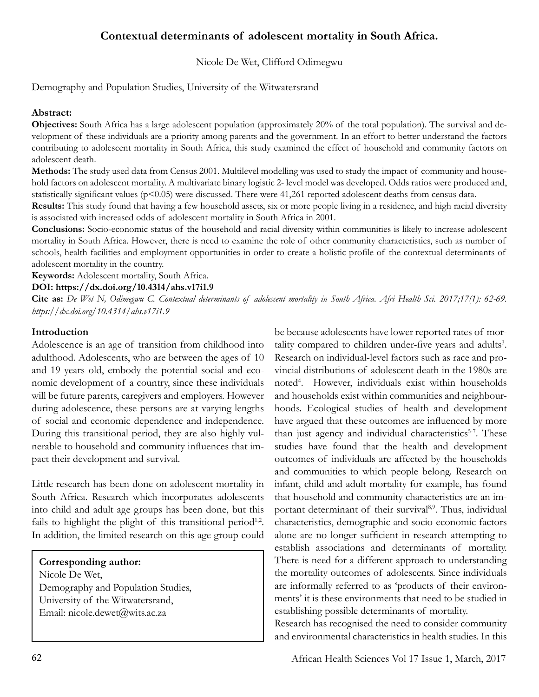# **Contextual determinants of adolescent mortality in South Africa.**

Nicole De Wet, Clifford Odimegwu

Demography and Population Studies, University of the Witwatersrand

### **Abstract:**

**Objectives:** South Africa has a large adolescent population (approximately 20% of the total population). The survival and development of these individuals are a priority among parents and the government. In an effort to better understand the factors contributing to adolescent mortality in South Africa, this study examined the effect of household and community factors on adolescent death.

**Methods:** The study used data from Census 2001. Multilevel modelling was used to study the impact of community and household factors on adolescent mortality. A multivariate binary logistic 2- level model was developed. Odds ratios were produced and, statistically significant values (p<0.05) were discussed. There were 41,261 reported adolescent deaths from census data.

**Results:** This study found that having a few household assets, six or more people living in a residence, and high racial diversity is associated with increased odds of adolescent mortality in South Africa in 2001.

**Conclusions:** Socio-economic status of the household and racial diversity within communities is likely to increase adolescent mortality in South Africa. However, there is need to examine the role of other community characteristics, such as number of schools, health facilities and employment opportunities in order to create a holistic profile of the contextual determinants of adolescent mortality in the country.

**Keywords:** Adolescent mortality, South Africa.

**DOI: https://dx.doi.org/10.4314/ahs.v17i1.9**

**Cite as:** *De Wet N, Odimegwu C. Contextual determinants of adolescent mortality in South Africa. Afri Health Sci. 2017;17(1): 62-69. https://dx.doi.org/10.4314/ahs.v17i1.9*

### **Introduction**

Adolescence is an age of transition from childhood into adulthood. Adolescents, who are between the ages of 10 and 19 years old, embody the potential social and economic development of a country, since these individuals will be future parents, caregivers and employers. However during adolescence, these persons are at varying lengths of social and economic dependence and independence. During this transitional period, they are also highly vulnerable to household and community influences that impact their development and survival.

Little research has been done on adolescent mortality in South Africa. Research which incorporates adolescents into child and adult age groups has been done, but this fails to highlight the plight of this transitional period<sup>1,2</sup>. In addition, the limited research on this age group could

**Corresponding author:** Nicole De Wet, Demography and Population Studies, University of the Witwatersrand, Email: nicole.dewet@wits.ac.za

be because adolescents have lower reported rates of mortality compared to children under-five years and adults<sup>3</sup>. Research on individual-level factors such as race and provincial distributions of adolescent death in the 1980s are noted<sup>4</sup> . However, individuals exist within households and households exist within communities and neighbourhoods. Ecological studies of health and development have argued that these outcomes are influenced by more than just agency and individual characteristics<sup>5-7</sup>. These studies have found that the health and development outcomes of individuals are affected by the households and communities to which people belong. Research on infant, child and adult mortality for example, has found that household and community characteristics are an important determinant of their survival<sup>8,9</sup>. Thus, individual characteristics, demographic and socio-economic factors alone are no longer sufficient in research attempting to establish associations and determinants of mortality. There is need for a different approach to understanding the mortality outcomes of adolescents. Since individuals are informally referred to as 'products of their environments' it is these environments that need to be studied in establishing possible determinants of mortality.

Research has recognised the need to consider community and environmental characteristics in health studies. In this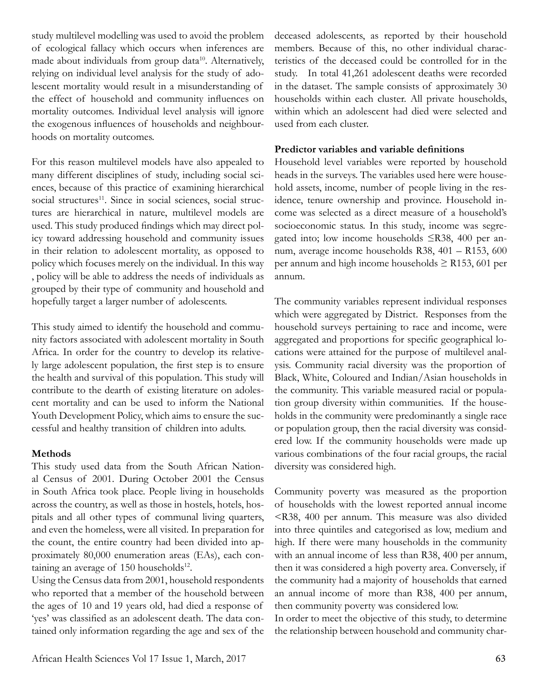study multilevel modelling was used to avoid the problem of ecological fallacy which occurs when inferences are made about individuals from group data<sup>10</sup>. Alternatively, relying on individual level analysis for the study of adolescent mortality would result in a misunderstanding of the effect of household and community influences on mortality outcomes. Individual level analysis will ignore the exogenous influences of households and neighbourhoods on mortality outcomes.

For this reason multilevel models have also appealed to many different disciplines of study, including social sciences, because of this practice of examining hierarchical social structures<sup>11</sup>. Since in social sciences, social structures are hierarchical in nature, multilevel models are used. This study produced findings which may direct policy toward addressing household and community issues in their relation to adolescent mortality, as opposed to policy which focuses merely on the individual. In this way , policy will be able to address the needs of individuals as grouped by their type of community and household and hopefully target a larger number of adolescents.

This study aimed to identify the household and community factors associated with adolescent mortality in South Africa. In order for the country to develop its relatively large adolescent population, the first step is to ensure the health and survival of this population. This study will contribute to the dearth of existing literature on adolescent mortality and can be used to inform the National Youth Development Policy, which aims to ensure the successful and healthy transition of children into adults.

### **Methods**

This study used data from the South African National Census of 2001. During October 2001 the Census in South Africa took place. People living in households across the country, as well as those in hostels, hotels, hospitals and all other types of communal living quarters, and even the homeless, were all visited. In preparation for the count, the entire country had been divided into approximately 80,000 enumeration areas (EAs), each containing an average of  $150$  households<sup>12</sup>.

Using the Census data from 2001, household respondents who reported that a member of the household between the ages of 10 and 19 years old, had died a response of 'yes' was classified as an adolescent death. The data contained only information regarding the age and sex of the deceased adolescents, as reported by their household members. Because of this, no other individual characteristics of the deceased could be controlled for in the study. In total 41,261 adolescent deaths were recorded in the dataset. The sample consists of approximately 30 households within each cluster. All private households, within which an adolescent had died were selected and used from each cluster.

### **Predictor variables and variable definitions**

Household level variables were reported by household heads in the surveys. The variables used here were household assets, income, number of people living in the residence, tenure ownership and province. Household income was selected as a direct measure of a household's socioeconomic status. In this study, income was segregated into; low income households ≤R38, 400 per annum, average income households R38, 401 – R153, 600 per annum and high income households  $\geq$  R153, 601 per annum.

The community variables represent individual responses which were aggregated by District. Responses from the household surveys pertaining to race and income, were aggregated and proportions for specific geographical locations were attained for the purpose of multilevel analysis. Community racial diversity was the proportion of Black, White, Coloured and Indian/Asian households in the community. This variable measured racial or population group diversity within communities. If the households in the community were predominantly a single race or population group, then the racial diversity was considered low. If the community households were made up various combinations of the four racial groups, the racial diversity was considered high.

Community poverty was measured as the proportion of households with the lowest reported annual income <R38, 400 per annum. This measure was also divided into three quintiles and categorised as low, medium and high. If there were many households in the community with an annual income of less than R38, 400 per annum, then it was considered a high poverty area. Conversely, if the community had a majority of households that earned an annual income of more than R38, 400 per annum, then community poverty was considered low.

In order to meet the objective of this study, to determine the relationship between household and community char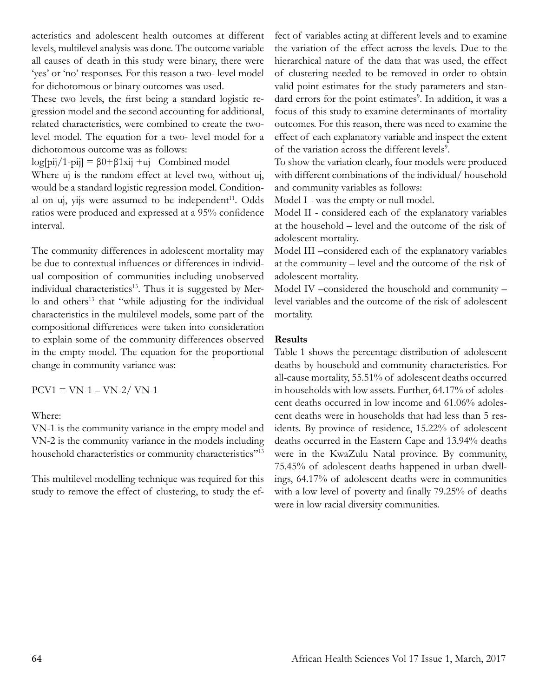acteristics and adolescent health outcomes at different levels, multilevel analysis was done. The outcome variable all causes of death in this study were binary, there were 'yes' or 'no' responses. For this reason a two- level model for dichotomous or binary outcomes was used.

These two levels, the first being a standard logistic regression model and the second accounting for additional, related characteristics, were combined to create the twolevel model. The equation for a two- level model for a dichotomous outcome was as follows:

log[pij/1-pij] =  $\beta$ 0+ $\beta$ 1xij +uj Combined model

Where uj is the random effect at level two, without uj, would be a standard logistic regression model. Conditional on uj, yijs were assumed to be independent $11$ . Odds ratios were produced and expressed at a 95% confidence interval.

The community differences in adolescent mortality may be due to contextual influences or differences in individual composition of communities including unobserved individual characteristics $13$ . Thus it is suggested by Merlo and others<sup>13</sup> that "while adjusting for the individual characteristics in the multilevel models, some part of the compositional differences were taken into consideration to explain some of the community differences observed in the empty model. The equation for the proportional change in community variance was:

 $PCV1 = VN-1 - VN-2/VN-1$ 

Where:

VN-1 is the community variance in the empty model and VN-2 is the community variance in the models including household characteristics or community characteristics"<sup>13</sup>

This multilevel modelling technique was required for this study to remove the effect of clustering, to study the effect of variables acting at different levels and to examine the variation of the effect across the levels. Due to the hierarchical nature of the data that was used, the effect of clustering needed to be removed in order to obtain valid point estimates for the study parameters and standard errors for the point estimates<sup>9</sup>. In addition, it was a focus of this study to examine determinants of mortality outcomes. For this reason, there was need to examine the effect of each explanatory variable and inspect the extent of the variation across the different levels<sup>9</sup>.

To show the variation clearly, four models were produced with different combinations of the individual/ household and community variables as follows:

Model I - was the empty or null model.

Model II - considered each of the explanatory variables at the household – level and the outcome of the risk of adolescent mortality.

Model III –considered each of the explanatory variables at the community – level and the outcome of the risk of adolescent mortality.

Model IV –considered the household and community – level variables and the outcome of the risk of adolescent mortality.

# **Results**

Table 1 shows the percentage distribution of adolescent deaths by household and community characteristics. For all-cause mortality, 55.51% of adolescent deaths occurred in households with low assets. Further, 64.17% of adolescent deaths occurred in low income and 61.06% adolescent deaths were in households that had less than 5 residents. By province of residence, 15.22% of adolescent deaths occurred in the Eastern Cape and 13.94% deaths were in the KwaZulu Natal province. By community, 75.45% of adolescent deaths happened in urban dwellings, 64.17% of adolescent deaths were in communities with a low level of poverty and finally 79.25% of deaths were in low racial diversity communities.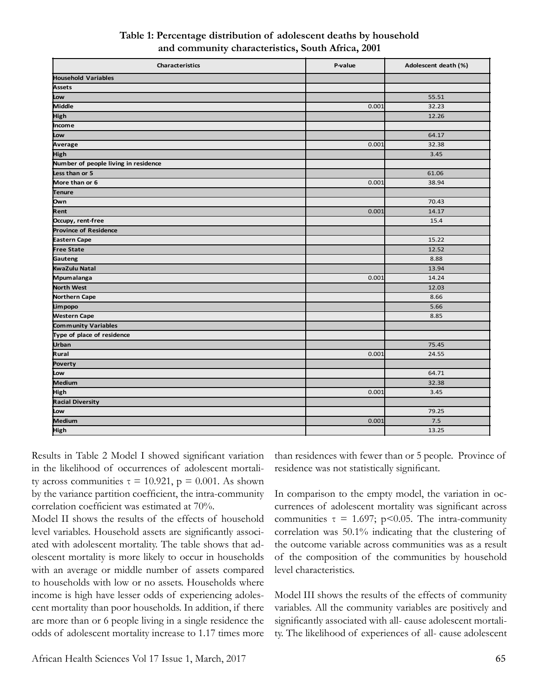| Characteristics                      | P-value | Adolescent death (%) |
|--------------------------------------|---------|----------------------|
| <b>Household Variables</b>           |         |                      |
| <b>Assets</b>                        |         |                      |
| Low                                  |         | 55.51                |
| Middle                               | 0.001   | 32.23                |
| High                                 |         | 12.26                |
| Income                               |         |                      |
| Low                                  |         | 64.17                |
| Average                              | 0.001   | 32.38                |
| High                                 |         | 3.45                 |
| Number of people living in residence |         |                      |
| Less than or 5                       |         | 61.06                |
| More than or 6                       | 0.001   | 38.94                |
| <b>Tenure</b>                        |         |                      |
| Own                                  |         | 70.43                |
| Rent                                 | 0.001   | 14.17                |
| Occupy, rent-free                    |         | 15.4                 |
| <b>Province of Residence</b>         |         |                      |
| <b>Eastern Cape</b>                  |         | 15.22                |
| <b>Free State</b>                    |         | 12.52                |
| Gauteng                              |         | 8.88                 |
| <b>KwaZulu Natal</b>                 |         | 13.94                |
| Mpumalanga                           | 0.001   | 14.24                |
| <b>North West</b>                    |         | 12.03                |
| <b>Northern Cape</b>                 |         | 8.66                 |
| Limpopo                              |         | 5.66                 |
| <b>Western Cape</b>                  |         | 8.85                 |
| Community Variables                  |         |                      |
| Type of place of residence           |         |                      |
| <b>Urban</b>                         |         | 75.45                |
| Rural                                | 0.001   | 24.55                |
| Poverty                              |         |                      |
| Low                                  |         | 64.71                |
| Medium                               |         | 32.38                |
| High                                 | 0.001   | 3.45                 |
| <b>Racial Diversity</b>              |         |                      |
| Low                                  |         | 79.25                |
| Medium                               | 0.001   | 7.5                  |
| High                                 |         | 13.25                |

# **Table 1: Percentage distribution of adolescent deaths by household and community characteristics, South Africa, 2001**

Results in Table 2 Model I showed significant variation in the likelihood of occurrences of adolescent mortality across communities  $\tau = 10.921$ ,  $p = 0.001$ . As shown by the variance partition coefficient, the intra-community correlation coefficient was estimated at 70%.

Model II shows the results of the effects of household level variables. Household assets are significantly associated with adolescent mortality. The table shows that adolescent mortality is more likely to occur in households with an average or middle number of assets compared to households with low or no assets. Households where income is high have lesser odds of experiencing adolescent mortality than poor households. In addition, if there are more than or 6 people living in a single residence the odds of adolescent mortality increase to 1.17 times more than residences with fewer than or 5 people. Province of residence was not statistically significant.

In comparison to the empty model, the variation in occurrences of adolescent mortality was significant across communities  $\tau = 1.697$ ; p<0.05. The intra-community correlation was 50.1% indicating that the clustering of the outcome variable across communities was as a result of the composition of the communities by household level characteristics.

Model III shows the results of the effects of community variables. All the community variables are positively and significantly associated with all- cause adolescent mortality. The likelihood of experiences of all- cause adolescent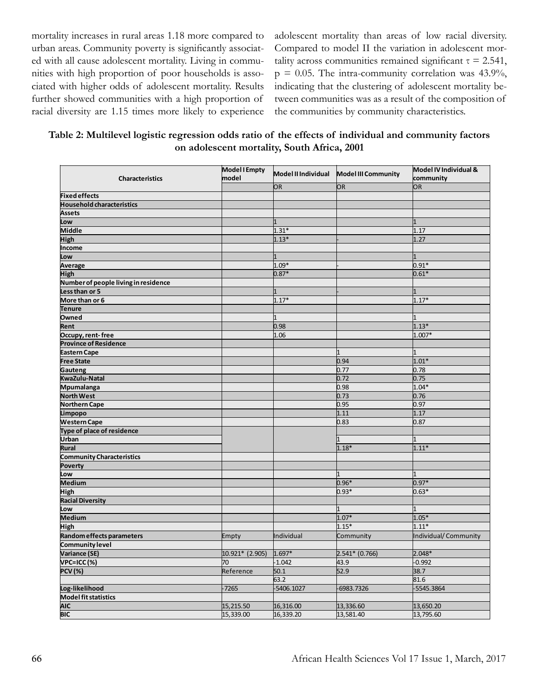mortality increases in rural areas 1.18 more compared to urban areas. Community poverty is significantly associated with all cause adolescent mortality. Living in communities with high proportion of poor households is associated with higher odds of adolescent mortality. Results further showed communities with a high proportion of racial diversity are 1.15 times more likely to experience adolescent mortality than areas of low racial diversity. Compared to model II the variation in adolescent mortality across communities remained significant  $\tau = 2.541$ ,  $p = 0.05$ . The intra-community correlation was 43.9%, indicating that the clustering of adolescent mortality between communities was as a result of the composition of the communities by community characteristics.

**Table 2: Multilevel logistic regression odds ratio of the effects of individual and community factors on adolescent mortality, South Africa, 2001**

| <b>Characteristics</b>                     | <b>Model I Empty</b><br>model | Model II Individual | <b>Model III Community</b> | Model IV Individual &<br>community |
|--------------------------------------------|-------------------------------|---------------------|----------------------------|------------------------------------|
|                                            |                               | <b>OR</b>           | OR                         | OR                                 |
| <b>Fixed effects</b>                       |                               |                     |                            |                                    |
| <b>Household characteristics</b>           |                               |                     |                            |                                    |
| <b>Assets</b>                              |                               |                     |                            |                                    |
| Low                                        |                               |                     |                            |                                    |
| <b>Middle</b>                              |                               | $1.31*$             |                            | 1.17                               |
| <b>High</b>                                |                               | $1.13*$             |                            | 1.27                               |
| Income                                     |                               |                     |                            |                                    |
| Low                                        |                               |                     |                            |                                    |
| Average                                    |                               | $1.09*$             |                            | $0.91*$                            |
| <b>High</b>                                |                               | $0.87*$             |                            | $0.61*$                            |
| Number of people living in residence       |                               |                     |                            |                                    |
| Less than or 5                             |                               |                     |                            |                                    |
| More than or 6                             |                               | $1.17*$             |                            | $1.17*$                            |
| <b>Tenure</b>                              |                               |                     |                            |                                    |
| Owned                                      |                               |                     |                            |                                    |
| Rent                                       |                               | 0.98                |                            | $1.13*$                            |
| Occupy, rent-free                          |                               | 1.06                |                            | 1.007*                             |
| <b>Province of Residence</b>               |                               |                     |                            |                                    |
| <b>Eastern Cape</b>                        |                               |                     | l1                         | $\mathbf{1}$                       |
| <b>Free State</b>                          |                               |                     | 0.94                       | $1.01*$                            |
| Gauteng                                    |                               |                     | 0.77                       | 0.78                               |
| KwaZulu-Natal                              |                               |                     | 0.72                       | 0.75                               |
| Mpumalanga                                 |                               |                     | 0.98                       | $1.04*$                            |
| <b>North West</b>                          |                               |                     | 0.73                       | 0.76                               |
| <b>Northern Cape</b>                       |                               |                     | 0.95                       | 0.97                               |
|                                            |                               |                     | 1.11                       | 1.17                               |
| Limpopo<br><b>Western Cape</b>             |                               |                     | 0.83                       | 0.87                               |
|                                            |                               |                     |                            |                                    |
| Type of place of residence<br><b>Urban</b> |                               |                     |                            |                                    |
| Rural                                      |                               |                     |                            |                                    |
|                                            |                               |                     | $1.18*$                    | $1.11*$                            |
| <b>Community Characteristics</b>           |                               |                     |                            |                                    |
| <b>Poverty</b>                             |                               |                     |                            |                                    |
| Low                                        |                               |                     |                            |                                    |
| <b>Medium</b>                              |                               |                     | $0.96*$                    | $0.97*$                            |
| High                                       |                               |                     | $0.93*$                    | $0.63*$                            |
| <b>Racial Diversity</b>                    |                               |                     |                            |                                    |
| Low                                        |                               |                     |                            |                                    |
| <b>Medium</b>                              |                               |                     | $1.07*$                    | 1.05*                              |
| <b>High</b>                                |                               |                     | $1.15*$                    | $1.11*$                            |
| Random effects parameters                  | Empty                         | Individual          | Community                  | Individual/Community               |
| <b>Community level</b>                     |                               |                     |                            |                                    |
| Variance (SE)                              | 10.921* (2.905)               | $1.697*$            | $2.541* (0.766)$           | 2.048*                             |
| VPC=ICC(%)                                 | 70                            | $-1.042$            | 43.9                       | $-0.992$                           |
| <b>PCV</b> (%)                             | Reference                     | 50.1                | 52.9                       | 38.7                               |
|                                            |                               | 63.2                |                            | 81.6                               |
| Log-likelihood                             | $-7265$                       | -5406.1027          | 6983.7326                  | -5545.3864                         |
| Model fit statistics                       |                               |                     |                            |                                    |
| <b>AIC</b>                                 | 15,215.50                     | 16,316.00           | 13,336.60                  | 13,650.20                          |
| <b>BIC</b>                                 | 15,339.00                     | 16,339.20           | 13,581.40                  | 13,795.60                          |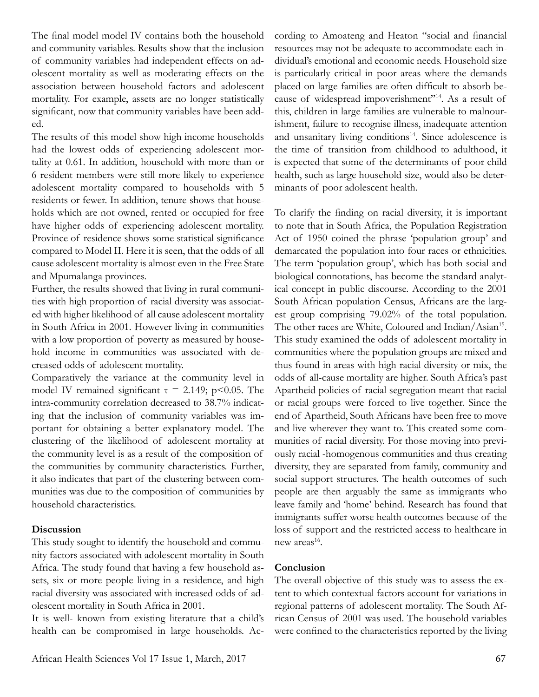The final model model IV contains both the household and community variables. Results show that the inclusion of community variables had independent effects on adolescent mortality as well as moderating effects on the association between household factors and adolescent mortality. For example, assets are no longer statistically significant, now that community variables have been added.

The results of this model show high income households had the lowest odds of experiencing adolescent mortality at 0.61. In addition, household with more than or 6 resident members were still more likely to experience adolescent mortality compared to households with 5 residents or fewer. In addition, tenure shows that households which are not owned, rented or occupied for free have higher odds of experiencing adolescent mortality. Province of residence shows some statistical significance compared to Model II. Here it is seen, that the odds of all cause adolescent mortality is almost even in the Free State and Mpumalanga provinces.

Further, the results showed that living in rural communities with high proportion of racial diversity was associated with higher likelihood of all cause adolescent mortality in South Africa in 2001. However living in communities with a low proportion of poverty as measured by household income in communities was associated with decreased odds of adolescent mortality.

Comparatively the variance at the community level in model IV remained significant  $\tau = 2.149$ ; p<0.05. The intra-community correlation decreased to 38.7% indicating that the inclusion of community variables was important for obtaining a better explanatory model. The clustering of the likelihood of adolescent mortality at the community level is as a result of the composition of the communities by community characteristics. Further, it also indicates that part of the clustering between communities was due to the composition of communities by household characteristics.

#### **Discussion**

This study sought to identify the household and community factors associated with adolescent mortality in South Africa. The study found that having a few household assets, six or more people living in a residence, and high racial diversity was associated with increased odds of adolescent mortality in South Africa in 2001.

It is well- known from existing literature that a child's health can be compromised in large households. According to Amoateng and Heaton "social and financial resources may not be adequate to accommodate each individual's emotional and economic needs. Household size is particularly critical in poor areas where the demands placed on large families are often difficult to absorb because of widespread impoverishment"<sup>14</sup>. As a result of this, children in large families are vulnerable to malnourishment, failure to recognise illness, inadequate attention and unsanitary living conditions<sup>14</sup>. Since adolescence is the time of transition from childhood to adulthood, it is expected that some of the determinants of poor child health, such as large household size, would also be determinants of poor adolescent health.

To clarify the finding on racial diversity, it is important to note that in South Africa, the Population Registration Act of 1950 coined the phrase 'population group' and demarcated the population into four races or ethnicities. The term 'population group', which has both social and biological connotations, has become the standard analytical concept in public discourse. According to the 2001 South African population Census, Africans are the largest group comprising 79.02% of the total population. The other races are White, Coloured and Indian/Asian<sup>15</sup>. This study examined the odds of adolescent mortality in communities where the population groups are mixed and thus found in areas with high racial diversity or mix, the odds of all-cause mortality are higher. South Africa's past Apartheid policies of racial segregation meant that racial or racial groups were forced to live together. Since the end of Apartheid, South Africans have been free to move and live wherever they want to. This created some communities of racial diversity. For those moving into previously racial -homogenous communities and thus creating diversity, they are separated from family, community and social support structures. The health outcomes of such people are then arguably the same as immigrants who leave family and 'home' behind. Research has found that immigrants suffer worse health outcomes because of the loss of support and the restricted access to healthcare in new areas<sup>16</sup>.

### **Conclusion**

The overall objective of this study was to assess the extent to which contextual factors account for variations in regional patterns of adolescent mortality. The South African Census of 2001 was used. The household variables were confined to the characteristics reported by the living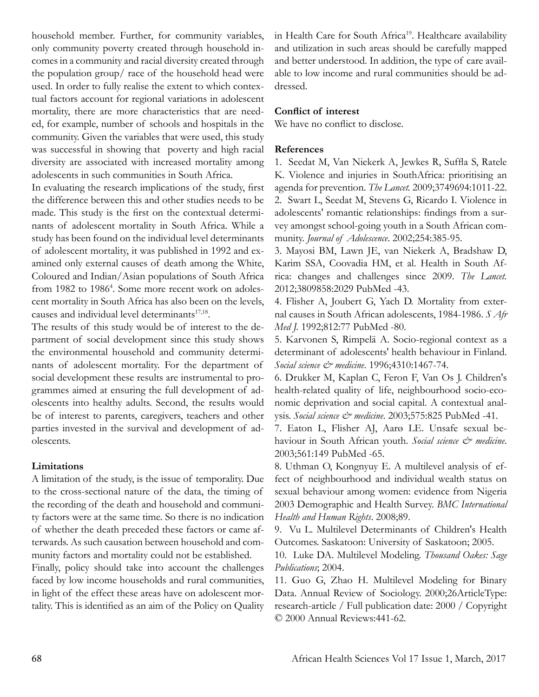household member. Further, for community variables, only community poverty created through household incomes in a community and racial diversity created through the population group/ race of the household head were used. In order to fully realise the extent to which contextual factors account for regional variations in adolescent mortality, there are more characteristics that are needed, for example, number of schools and hospitals in the community. Given the variables that were used, this study was successful in showing that poverty and high racial diversity are associated with increased mortality among adolescents in such communities in South Africa.

In evaluating the research implications of the study, first the difference between this and other studies needs to be made. This study is the first on the contextual determinants of adolescent mortality in South Africa. While a study has been found on the individual level determinants of adolescent mortality, it was published in 1992 and examined only external causes of death among the White, Coloured and Indian/Asian populations of South Africa from 1982 to 1986<sup>4</sup>. Some more recent work on adolescent mortality in South Africa has also been on the levels, causes and individual level determinants $17,18$ .

The results of this study would be of interest to the department of social development since this study shows the environmental household and community determinants of adolescent mortality. For the department of social development these results are instrumental to programmes aimed at ensuring the full development of adolescents into healthy adults. Second, the results would be of interest to parents, caregivers, teachers and other parties invested in the survival and development of adolescents.

### **Limitations**

A limitation of the study, is the issue of temporality. Due to the cross-sectional nature of the data, the timing of the recording of the death and household and community factors were at the same time. So there is no indication of whether the death preceded these factors or came afterwards. As such causation between household and community factors and mortality could not be established.

Finally, policy should take into account the challenges faced by low income households and rural communities, in light of the effect these areas have on adolescent mortality. This is identified as an aim of the Policy on Quality in Health Care for South Africa<sup>19</sup>. Healthcare availability and utilization in such areas should be carefully mapped and better understood. In addition, the type of care available to low income and rural communities should be addressed.

### **Conflict of interest**

We have no conflict to disclose.

#### **References**

1. Seedat M, Van Niekerk A, Jewkes R, Suffla S, Ratele K. Violence and injuries in SouthAfrica: prioritising an agenda for prevention. *The Lancet.* 2009;3749694:1011-22. 2. Swart L, Seedat M, Stevens G, Ricardo I. Violence in adolescents' romantic relationships: findings from a survey amongst school-going youth in a South African community. *Journal of Adolescence*. 2002;254:385-95.

3. Mayosi BM, Lawn JE, van Niekerk A, Bradshaw D, Karim SSA, Coovadia HM, et al. Health in South Africa: changes and challenges since 2009. *The Lancet.* 2012;3809858:2029 PubMed -43.

4. Flisher A, Joubert G, Yach D. Mortality from external causes in South African adolescents, 1984-1986. *S Afr Med J.* 1992;812:77 PubMed -80.

5. Karvonen S, Rimpelä A. Socio-regional context as a determinant of adolescents' health behaviour in Finland. *Social science & medicine*. 1996;4310:1467-74.

6. Drukker M, Kaplan C, Feron F, Van Os J. Children's health-related quality of life, neighbourhood socio-economic deprivation and social capital. A contextual analysis. *Social science & medicine*. 2003;575:825 PubMed -41.

7. Eaton L, Flisher AJ, Aarø LE. Unsafe sexual behaviour in South African youth. *Social science & medicine*. 2003;561:149 PubMed -65.

8. Uthman O, Kongnyuy E. A multilevel analysis of effect of neighbourhood and individual wealth status on sexual behaviour among women: evidence from Nigeria 2003 Demographic and Health Survey. *BMC International Health and Human Rights*. 2008;89.

9. Vu L. Multilevel Determinants of Children's Health Outcomes. Saskatoon: University of Saskatoon; 2005.

10. Luke DA. Multilevel Modeling. *Thousand Oakes: Sage Publications*; 2004.

11. Guo G, Zhao H. Multilevel Modeling for Binary Data. Annual Review of Sociology. 2000;26ArticleType: research-article / Full publication date: 2000 / Copyright © 2000 Annual Reviews:441-62.